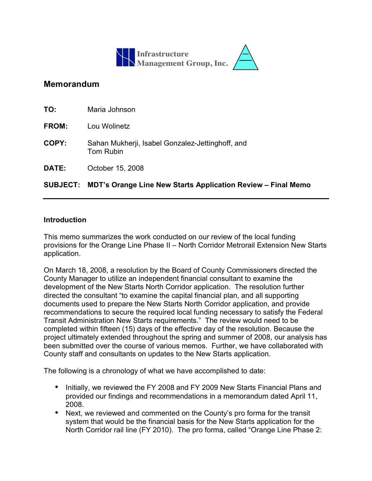

# **Memorandum**

|              | SUBJECT: MDT's Orange Line New Starts Application Review – Final Memo |
|--------------|-----------------------------------------------------------------------|
| <b>DATE:</b> | October 15, 2008                                                      |
| COPY:        | Sahan Mukherji, Isabel Gonzalez-Jettinghoff, and<br><b>Tom Rubin</b>  |
| <b>FROM:</b> | Lou Wolinetz                                                          |
| TO:          | Maria Johnson                                                         |

#### **Introduction**

This memo summarizes the work conducted on our review of the local funding provisions for the Orange Line Phase II – North Corridor Metrorail Extension New Starts application.

On March 18, 2008, a resolution by the Board of County Commissioners directed the County Manager to utilize an independent financial consultant to examine the development of the New Starts North Corridor application. The resolution further directed the consultant "to examine the capital financial plan, and all supporting documents used to prepare the New Starts North Corridor application, and provide recommendations to secure the required local funding necessary to satisfy the Federal Transit Administration New Starts requirements." The review would need to be completed within fifteen (15) days of the effective day of the resolution. Because the project ultimately extended throughout the spring and summer of 2008, our analysis has been submitted over the course of various memos. Further, we have collaborated with County staff and consultants on updates to the New Starts application.

The following is a chronology of what we have accomplished to date:

- Initially, we reviewed the FY 2008 and FY 2009 New Starts Financial Plans and provided our findings and recommendations in a memorandum dated April 11, 2008.
- Next, we reviewed and commented on the County's pro forma for the transit system that would be the financial basis for the New Starts application for the North Corridor rail line (FY 2010). The pro forma, called "Orange Line Phase 2: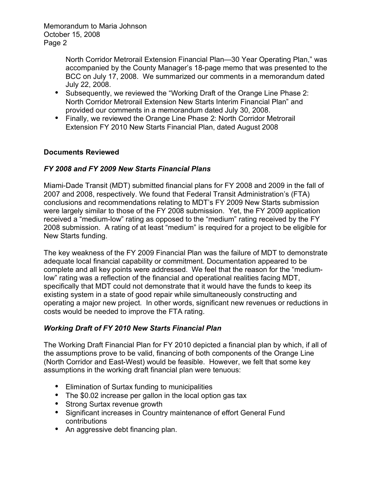> North Corridor Metrorail Extension Financial Plan—30 Year Operating Plan," was accompanied by the County Manager's 18-page memo that was presented to the BCC on July 17, 2008. We summarized our comments in a memorandum dated July 22, 2008.

- Subsequently, we reviewed the "Working Draft of the Orange Line Phase 2: North Corridor Metrorail Extension New Starts Interim Financial Plan" and provided our comments in a memorandum dated July 30, 2008.
- Finally, we reviewed the Orange Line Phase 2: North Corridor Metrorail Extension FY 2010 New Starts Financial Plan, dated August 2008

# **Documents Reviewed**

### *FY 2008 and FY 2009 New Starts Financial Plans*

Miami-Dade Transit (MDT) submitted financial plans for FY 2008 and 2009 in the fall of 2007 and 2008, respectively. We found that Federal Transit Administration's (FTA) conclusions and recommendations relating to MDT's FY 2009 New Starts submission were largely similar to those of the FY 2008 submission. Yet, the FY 2009 application received a "medium-low" rating as opposed to the "medium" rating received by the FY 2008 submission. A rating of at least "medium" is required for a project to be eligible for New Starts funding.

The key weakness of the FY 2009 Financial Plan was the failure of MDT to demonstrate adequate local financial capability or commitment. Documentation appeared to be complete and all key points were addressed. We feel that the reason for the "mediumlow" rating was a reflection of the financial and operational realities facing MDT, specifically that MDT could not demonstrate that it would have the funds to keep its existing system in a state of good repair while simultaneously constructing and operating a major new project. In other words, significant new revenues or reductions in costs would be needed to improve the FTA rating.

# *Working Draft of FY 2010 New Starts Financial Plan*

The Working Draft Financial Plan for FY 2010 depicted a financial plan by which, if all of the assumptions prove to be valid, financing of both components of the Orange Line (North Corridor and East-West) would be feasible. However, we felt that some key assumptions in the working draft financial plan were tenuous:

- Elimination of Surtax funding to municipalities
- The \$0.02 increase per gallon in the local option gas tax
- Strong Surtax revenue growth
- Significant increases in Country maintenance of effort General Fund contributions
- An aggressive debt financing plan.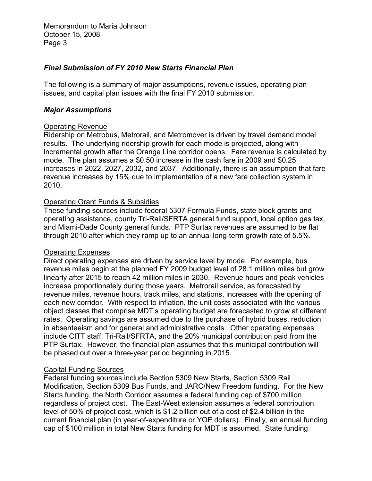### *Final Submission of FY 2010 New Starts Financial Plan*

The following is a summary of major assumptions, revenue issues, operating plan issues, and capital plan issues with the final FY 2010 submission.

#### *Major Assumptions*

#### Operating Revenue

Ridership on Metrobus, Metrorail, and Metromover is driven by travel demand model results. The underlying ridership growth for each mode is projected, along with incremental growth after the Orange Line corridor opens. Fare revenue is calculated by mode. The plan assumes a \$0.50 increase in the cash fare in 2009 and \$0.25 increases in 2022, 2027, 2032, and 2037. Additionally, there is an assumption that fare revenue increases by 15% due to implementation of a new fare collection system in 2010.

### Operating Grant Funds & Subsidies

These funding sources include federal 5307 Formula Funds, state block grants and operating assistance, county Tri-Rail/SFRTA general fund support, local option gas tax, and Miami-Dade County general funds. PTP Surtax revenues are assumed to be flat through 2010 after which they ramp up to an annual long-term growth rate of 5.5%.

# Operating Expenses

Direct operating expenses are driven by service level by mode. For example, bus revenue miles begin at the planned FY 2009 budget level of 28.1 million miles but grow linearly after 2015 to reach 42 million miles in 2030. Revenue hours and peak vehicles increase proportionately during those years. Metrorail service, as forecasted by revenue miles, revenue hours, track miles, and stations, increases with the opening of each new corridor. With respect to inflation, the unit costs associated with the various object classes that comprise MDT's operating budget are forecasted to grow at different rates. Operating savings are assumed due to the purchase of hybrid buses, reduction in absenteeism and for general and administrative costs. Other operating expenses include CITT staff, Tri-Rail/SFRTA, and the 20% municipal contribution paid from the PTP Surtax. However, the financial plan assumes that this municipal contribution will be phased out over a three-year period beginning in 2015.

#### Capital Funding Sources

Federal funding sources include Section 5309 New Starts, Section 5309 Rail Modification, Section 5309 Bus Funds, and JARC/New Freedom funding. For the New Starts funding, the North Corridor assumes a federal funding cap of \$700 million regardless of project cost. The East-West extension assumes a federal contribution level of 50% of project cost, which is \$1.2 billion out of a cost of \$2.4 billion in the current financial plan (in year-of-expenditure or YOE dollars). Finally, an annual funding cap of \$100 million in total New Starts funding for MDT is assumed. State funding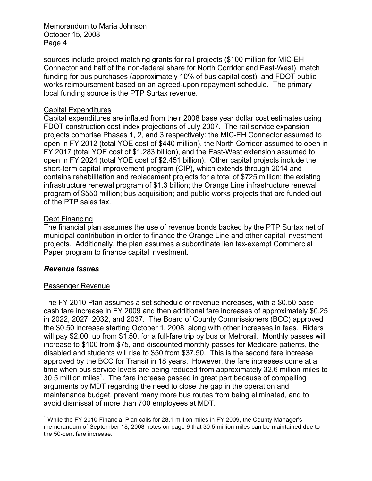sources include project matching grants for rail projects (\$100 million for MIC-EH Connector and half of the non-federal share for North Corridor and East-West), match funding for bus purchases (approximately 10% of bus capital cost), and FDOT public works reimbursement based on an agreed-upon repayment schedule. The primary local funding source is the PTP Surtax revenue.

### Capital Expenditures

Capital expenditures are inflated from their 2008 base year dollar cost estimates using FDOT construction cost index projections of July 2007. The rail service expansion projects comprise Phases 1, 2, and 3 respectively: the MIC-EH Connector assumed to open in FY 2012 (total YOE cost of \$440 million), the North Corridor assumed to open in FY 2017 (total YOE cost of \$1.283 billion), and the East-West extension assumed to open in FY 2024 (total YOE cost of \$2.451 billion). Other capital projects include the short-term capital improvement program (CIP), which extends through 2014 and contains rehabilitation and replacement projects for a total of \$725 million; the existing infrastructure renewal program of \$1.3 billion; the Orange Line infrastructure renewal program of \$550 million; bus acquisition; and public works projects that are funded out of the PTP sales tax.

#### Debt Financing

The financial plan assumes the use of revenue bonds backed by the PTP Surtax net of municipal contribution in order to finance the Orange Line and other capital investment projects. Additionally, the plan assumes a subordinate lien tax-exempt Commercial Paper program to finance capital investment.

#### *Revenue Issues*

#### Passenger Revenue

The FY 2010 Plan assumes a set schedule of revenue increases, with a \$0.50 base cash fare increase in FY 2009 and then additional fare increases of approximately \$0.25 in 2022, 2027, 2032, and 2037. The Board of County Commissioners (BCC) approved the \$0.50 increase starting October 1, 2008, along with other increases in fees. Riders will pay \$2.00, up from \$1.50, for a full-fare trip by bus or Metrorail. Monthly passes will increase to \$100 from \$75, and discounted monthly passes for Medicare patients, the disabled and students will rise to \$50 from \$37.50. This is the second fare increase approved by the BCC for Transit in 18 years. However, the fare increases come at a time when bus service levels are being reduced from approximately 32.6 million miles to  $30.5$  million miles<sup>1</sup>. The fare increase passed in great part because of compelling arguments by MDT regarding the need to close the gap in the operation and maintenance budget, prevent many more bus routes from being eliminated, and to avoid dismissal of more than 700 employees at MDT.

 <sup>1</sup> While the FY 2010 Financial Plan calls for 28.1 million miles in FY 2009, the County Manager's memorandum of September 18, 2008 notes on page 9 that 30.5 million miles can be maintained due to the 50-cent fare increase.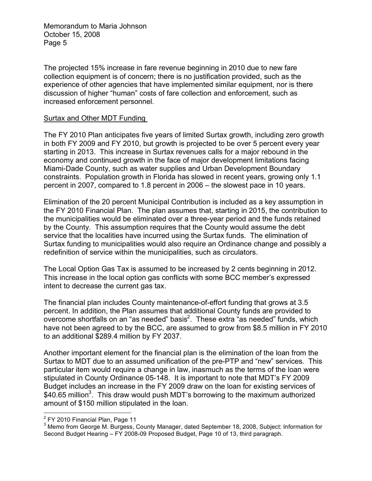The projected 15% increase in fare revenue beginning in 2010 due to new fare collection equipment is of concern; there is no justification provided, such as the experience of other agencies that have implemented similar equipment, nor is there discussion of higher "human" costs of fare collection and enforcement, such as increased enforcement personnel.

#### Surtax and Other MDT Funding

The FY 2010 Plan anticipates five years of limited Surtax growth, including zero growth in both FY 2009 and FY 2010, but growth is projected to be over 5 percent every year starting in 2013. This increase in Surtax revenues calls for a major rebound in the economy and continued growth in the face of major development limitations facing Miami-Dade County, such as water supplies and Urban Development Boundary constraints. Population growth in Florida has slowed in recent years, growing only 1.1 percent in 2007, compared to 1.8 percent in 2006 – the slowest pace in 10 years.

Elimination of the 20 percent Municipal Contribution is included as a key assumption in the FY 2010 Financial Plan. The plan assumes that, starting in 2015, the contribution to the municipalities would be eliminated over a three-year period and the funds retained by the County. This assumption requires that the County would assume the debt service that the localities have incurred using the Surtax funds. The elimination of Surtax funding to municipalities would also require an Ordinance change and possibly a redefinition of service within the municipalities, such as circulators.

The Local Option Gas Tax is assumed to be increased by 2 cents beginning in 2012. This increase in the local option gas conflicts with some BCC member's expressed intent to decrease the current gas tax.

The financial plan includes County maintenance-of-effort funding that grows at 3.5 percent. In addition, the Plan assumes that additional County funds are provided to overcome shortfalls on an "as needed" basis<sup>2</sup>. These extra "as needed" funds, which have not been agreed to by the BCC, are assumed to grow from \$8.5 million in FY 2010 to an additional \$289.4 million by FY 2037.

Another important element for the financial plan is the elimination of the loan from the Surtax to MDT due to an assumed unification of the pre-PTP and "new" services. This particular item would require a change in law, inasmuch as the terms of the loan were stipulated in County Ordinance 05-148. It is important to note that MDT's FY 2009 Budget includes an increase in the FY 2009 draw on the loan for existing services of \$40.65 million<sup>3</sup>. This draw would push MDT's borrowing to the maximum authorized amount of \$150 million stipulated in the loan.

 $\frac{1}{2}$  $^2$  FY 2010 Financial Plan, Page 11  $^3$  Mama from Coerre M. Burgees

<sup>&</sup>lt;sup>3</sup> Memo from George M. Burgess, County Manager, dated September 18, 2008, Subject: Information for Second Budget Hearing – FY 2008-09 Proposed Budget, Page 10 of 13, third paragraph.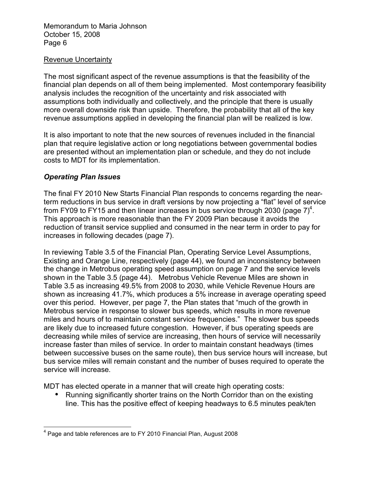#### Revenue Uncertainty

The most significant aspect of the revenue assumptions is that the feasibility of the financial plan depends on all of them being implemented. Most contemporary feasibility analysis includes the recognition of the uncertainty and risk associated with assumptions both individually and collectively, and the principle that there is usually more overall downside risk than upside. Therefore, the probability that all of the key revenue assumptions applied in developing the financial plan will be realized is low.

It is also important to note that the new sources of revenues included in the financial plan that require legislative action or long negotiations between governmental bodies are presented without an implementation plan or schedule, and they do not include costs to MDT for its implementation.

#### *Operating Plan Issues*

The final FY 2010 New Starts Financial Plan responds to concerns regarding the nearterm reductions in bus service in draft versions by now projecting a "flat" level of service from FY09 to FY15 and then linear increases in bus service through 2030 (page  $7)^4$ . This approach is more reasonable than the FY 2009 Plan because it avoids the reduction of transit service supplied and consumed in the near term in order to pay for increases in following decades (page 7).

In reviewing Table 3.5 of the Financial Plan, Operating Service Level Assumptions, Existing and Orange Line, respectively (page 44), we found an inconsistency between the change in Metrobus operating speed assumption on page 7 and the service levels shown in the Table 3.5 (page 44). Metrobus Vehicle Revenue Miles are shown in Table 3.5 as increasing 49.5% from 2008 to 2030, while Vehicle Revenue Hours are shown as increasing 41.7%, which produces a 5% increase in average operating speed over this period. However, per page 7, the Plan states that "much of the growth in Metrobus service in response to slower bus speeds, which results in more revenue miles and hours of to maintain constant service frequencies." The slower bus speeds are likely due to increased future congestion. However, if bus operating speeds are decreasing while miles of service are increasing, then hours of service will necessarily increase faster than miles of service. In order to maintain constant headways (times between successive buses on the same route), then bus service hours will increase, but bus service miles will remain constant and the number of buses required to operate the service will increase.

MDT has elected operate in a manner that will create high operating costs:

• Running significantly shorter trains on the North Corridor than on the existing line. This has the positive effect of keeping headways to 6.5 minutes peak/ten

 <sup>4</sup> Page and table references are to FY 2010 Financial Plan, August 2008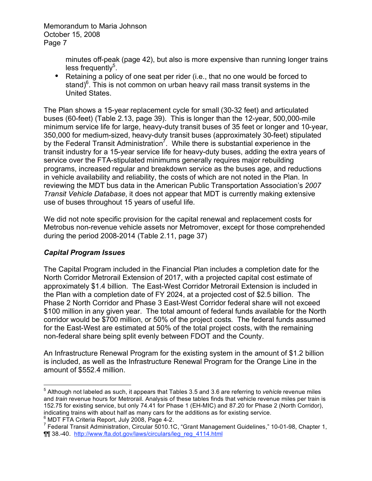> minutes off-peak (page 42), but also is more expensive than running longer trains less frequently<sup>5</sup>.

• Retaining a policy of one seat per rider (i.e., that no one would be forced to stand)<sup>6</sup>. This is not common on urban heavy rail mass transit systems in the United States.

The Plan shows a 15-year replacement cycle for small (30-32 feet) and articulated buses (60-feet) (Table 2.13, page 39). This is longer than the 12-year, 500,000-mile minimum service life for large, heavy-duty transit buses of 35 feet or longer and 10-year, 350,000 for medium-sized, heavy-duty transit buses (approximately 30-feet) stipulated by the Federal Transit Administration<sup>7</sup>. While there is substantial experience in the transit industry for a 15-year service life for heavy-duty buses, adding the extra years of service over the FTA-stipulated minimums generally requires major rebuilding programs, increased regular and breakdown service as the buses age, and reductions in vehicle availability and reliability, the costs of which are not noted in the Plan. In reviewing the MDT bus data in the American Public Transportation Association's *2007 Transit Vehicle Database*, it does not appear that MDT is currently making extensive use of buses throughout 15 years of useful life.

We did not note specific provision for the capital renewal and replacement costs for Metrobus non-revenue vehicle assets nor Metromover, except for those comprehended during the period 2008-2014 (Table 2.11, page 37)

# *Capital Program Issues*

The Capital Program included in the Financial Plan includes a completion date for the North Corridor Metrorail Extension of 2017, with a projected capital cost estimate of approximately \$1.4 billion. The East-West Corridor Metrorail Extension is included in the Plan with a completion date of FY 2024, at a projected cost of \$2.5 billion. The Phase 2 North Corridor and Phase 3 East-West Corridor federal share will not exceed \$100 million in any given year. The total amount of federal funds available for the North corridor would be \$700 million, or 50% of the project costs. The federal funds assumed for the East-West are estimated at 50% of the total project costs, with the remaining non-federal share being split evenly between FDOT and the County.

An Infrastructure Renewal Program for the existing system in the amount of \$1.2 billion is included, as well as the Infrastructure Renewal Program for the Orange Line in the amount of \$552.4 million.

 <sup>5</sup> Although not labeled as such, it appears that Tables 3.5 and 3.6 are referring to *vehicle* revenue miles and *train* revenue hours for Metrorail. Analysis of these tables finds that vehicle revenue miles per train is 152.75 for existing service, but only 74.41 for Phase 1 (EH-MIC) and 87.20 for Phase 2 (North Corridor), indicating trains with about half as many cars for the additions as for existing service.  $^6$  MDT FTA Criteria Report, July 2008, Page 4-2.

<sup>&</sup>lt;sup>7</sup> Federal Transit Administration, Circular 5010.1C, "Grant Management Guidelines," 10-01-98, Chapter 1, ¶¶ 38.-40. http://www.fta.dot.gov/laws/circulars/leg\_reg\_4114.html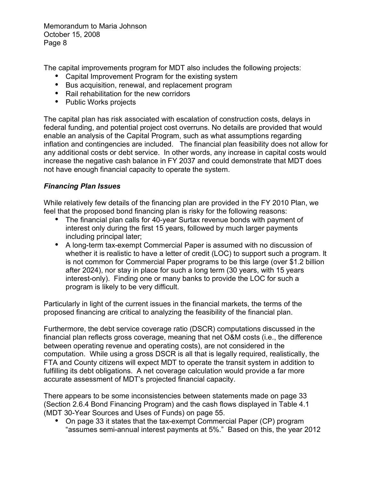The capital improvements program for MDT also includes the following projects:

- Capital Improvement Program for the existing system
- Bus acquisition, renewal, and replacement program
- Rail rehabilitation for the new corridors
- Public Works projects

The capital plan has risk associated with escalation of construction costs, delays in federal funding, and potential project cost overruns. No details are provided that would enable an analysis of the Capital Program, such as what assumptions regarding inflation and contingencies are included. The financial plan feasibility does not allow for any additional costs or debt service. In other words, any increase in capital costs would increase the negative cash balance in FY 2037 and could demonstrate that MDT does not have enough financial capacity to operate the system.

### *Financing Plan Issues*

While relatively few details of the financing plan are provided in the FY 2010 Plan, we feel that the proposed bond financing plan is risky for the following reasons:

- The financial plan calls for 40-year Surtax revenue bonds with payment of interest only during the first 15 years, followed by much larger payments including principal later;
- A long-term tax-exempt Commercial Paper is assumed with no discussion of whether it is realistic to have a letter of credit (LOC) to support such a program. It is not common for Commercial Paper programs to be this large (over \$1.2 billion after 2024), nor stay in place for such a long term (30 years, with 15 years interest-only). Finding one or many banks to provide the LOC for such a program is likely to be very difficult.

Particularly in light of the current issues in the financial markets, the terms of the proposed financing are critical to analyzing the feasibility of the financial plan.

Furthermore, the debt service coverage ratio (DSCR) computations discussed in the financial plan reflects gross coverage, meaning that net O&M costs (i.e., the difference between operating revenue and operating costs), are not considered in the computation. While using a gross DSCR is all that is legally required, realistically, the FTA and County citizens will expect MDT to operate the transit system in addition to fulfilling its debt obligations. A net coverage calculation would provide a far more accurate assessment of MDT's projected financial capacity.

There appears to be some inconsistencies between statements made on page 33 (Section 2.6.4 Bond Financing Program) and the cash flows displayed in Table 4.1 (MDT 30-Year Sources and Uses of Funds) on page 55.

• On page 33 it states that the tax-exempt Commercial Paper (CP) program "assumes semi-annual interest payments at 5%." Based on this, the year 2012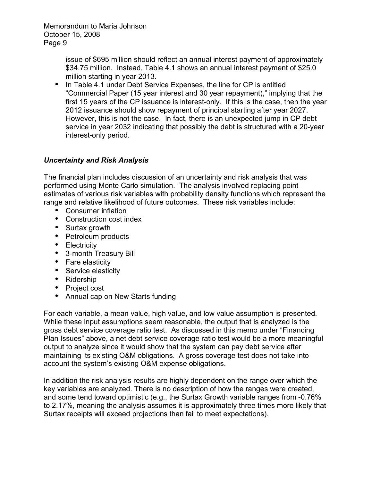> issue of \$695 million should reflect an annual interest payment of approximately \$34.75 million. Instead, Table 4.1 shows an annual interest payment of \$25.0 million starting in year 2013.

• In Table 4.1 under Debt Service Expenses, the line for CP is entitled "Commercial Paper (15 year interest and 30 year repayment)," implying that the first 15 years of the CP issuance is interest-only. If this is the case, then the year 2012 issuance should show repayment of principal starting after year 2027. However, this is not the case. In fact, there is an unexpected jump in CP debt service in year 2032 indicating that possibly the debt is structured with a 20-year interest-only period.

# *Uncertainty and Risk Analysis*

The financial plan includes discussion of an uncertainty and risk analysis that was performed using Monte Carlo simulation. The analysis involved replacing point estimates of various risk variables with probability density functions which represent the range and relative likelihood of future outcomes. These risk variables include:

- Consumer inflation
- Construction cost index
- Surtax growth
- Petroleum products
- Electricity
- 3-month Treasury Bill
- Fare elasticity
- Service elasticity
- Ridership
- Project cost
- Annual cap on New Starts funding

For each variable, a mean value, high value, and low value assumption is presented. While these input assumptions seem reasonable, the output that is analyzed is the gross debt service coverage ratio test. As discussed in this memo under "Financing Plan Issues" above, a net debt service coverage ratio test would be a more meaningful output to analyze since it would show that the system can pay debt service after maintaining its existing O&M obligations. A gross coverage test does not take into account the system's existing O&M expense obligations.

In addition the risk analysis results are highly dependent on the range over which the key variables are analyzed. There is no description of how the ranges were created, and some tend toward optimistic (e.g., the Surtax Growth variable ranges from -0.76% to 2.17%, meaning the analysis assumes it is approximately three times more likely that Surtax receipts will exceed projections than fail to meet expectations).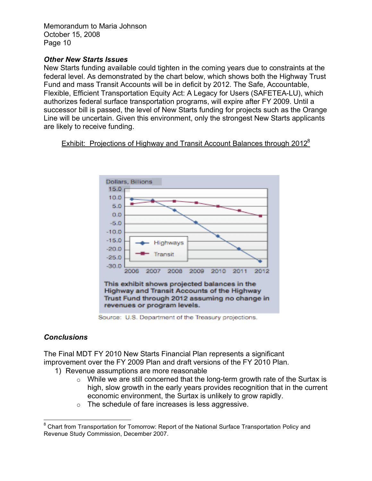### *Other New Starts Issues*

New Starts funding available could tighten in the coming years due to constraints at the federal level. As demonstrated by the chart below, which shows both the Highway Trust Fund and mass Transit Accounts will be in deficit by 2012. The Safe, Accountable, Flexible, Efficient Transportation Equity Act: A Legacy for Users (SAFETEA-LU), which authorizes federal surface transportation programs, will expire after FY 2009. Until a successor bill is passed, the level of New Starts funding for projects such as the Orange Line will be uncertain. Given this environment, only the strongest New Starts applicants are likely to receive funding.

Exhibit: Projections of Highway and Transit Account Balances through 2012<sup>8</sup>



Source: U.S. Department of the Treasury projections.

# *Conclusions*

The Final MDT FY 2010 New Starts Financial Plan represents a significant improvement over the FY 2009 Plan and draft versions of the FY 2010 Plan.

- 1) Revenue assumptions are more reasonable
	- $\circ$  While we are still concerned that the long-term growth rate of the Surtax is high, slow growth in the early years provides recognition that in the current economic environment, the Surtax is unlikely to grow rapidly.
	- o The schedule of fare increases is less aggressive.

<sup>&</sup>lt;sup>8</sup> Chart from Transportation for Tomorrow: Report of the National Surface Transportation Policy and Revenue Study Commission, December 2007.